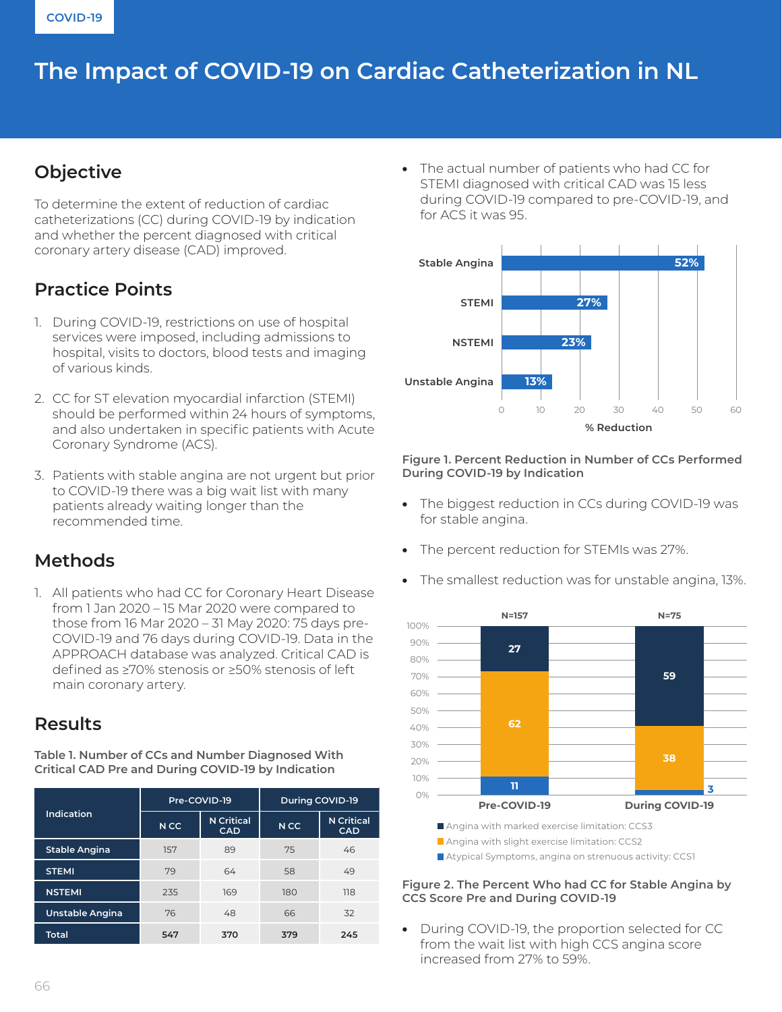# The Impact of COVID-19 on Cardiac Catheterization in NL

# **Objective**

To determine the extent of reduction of cardiac catheterizations (CC) during COVID-19 by indication and whether the percent diagnosed with critical coronary artery disease (CAD) improved.

# **Practice Points**

- 1. During COVID-19, restrictions on use of hospital services were imposed, including admissions to hospital, visits to doctors, blood tests and imaging of various kinds.
- 2. CC for ST elevation myocardial infarction (STEMI) should be performed within 24 hours of symptoms, and also undertaken in specific patients with Acute Coronary Syndrome (ACS).
- 3. Patients with stable angina are not urgent but prior to COVID-19 there was a big wait list with many patients already waiting longer than the recommended time.

### **Methods**

1. All patients who had CC for Coronary Heart Disease from 1 Jan 2020 – 15 Mar 2020 were compared to those from 16 Mar 2020 – 31 May 2020: 75 days pre-COVID-19 and 76 days during COVID-19. Data in the APPROACH database was analyzed. Critical CAD is defined as ≥70% stenosis or ≥50% stenosis of left main coronary artery.

### **Results**

**Table 1. Number of CCs and Number Diagnosed With Critical CAD Pre and During COVID-19 by Indication**

| <b>Indication</b> | Pre-COVID-19    |                                 | <b>During COVID-19</b> |                                 |
|-------------------|-----------------|---------------------------------|------------------------|---------------------------------|
|                   | N <sub>CC</sub> | <b>N</b> Critical<br><b>CAD</b> | N <sub>CC</sub>        | <b>N</b> Critical<br><b>CAD</b> |
| Stable Angina     | 157             | 89                              | 75                     | 46                              |
| <b>STEMI</b>      | 79              | 64                              | 58                     | 49                              |
| <b>NSTEMI</b>     | 235             | 169                             | 180                    | 118                             |
| Unstable Angina   | 76              | 48                              | 66                     | 32                              |
| <b>Total</b>      | 547             | 370                             | 379                    | 245                             |

• The actual number of patients who had CC for STEMI diagnosed with critical CAD was 15 less during COVID-19 compared to pre-COVID-19, and for ACS it was 95.



**Figure 1. Percent Reduction in Number of CCs Performed During COVID-19 by Indication**

- The biggest reduction in CCs during COVID-19 was for stable angina.
- The percent reduction for STEMIs was 27%.
- The smallest reduction was for unstable angina, 13%.



Angina with marked exercise limitation: CCS3

Atypical Symptoms, angina on strenuous activity: CCS1

#### **Figure 2. The Percent Who had CC for Stable Angina by CCS Score Pre and During COVID-19**

• During COVID-19, the proportion selected for CC from the wait list with high CCS angina score increased from 27% to 59%.

Angina with slight exercise limitation: CCS2